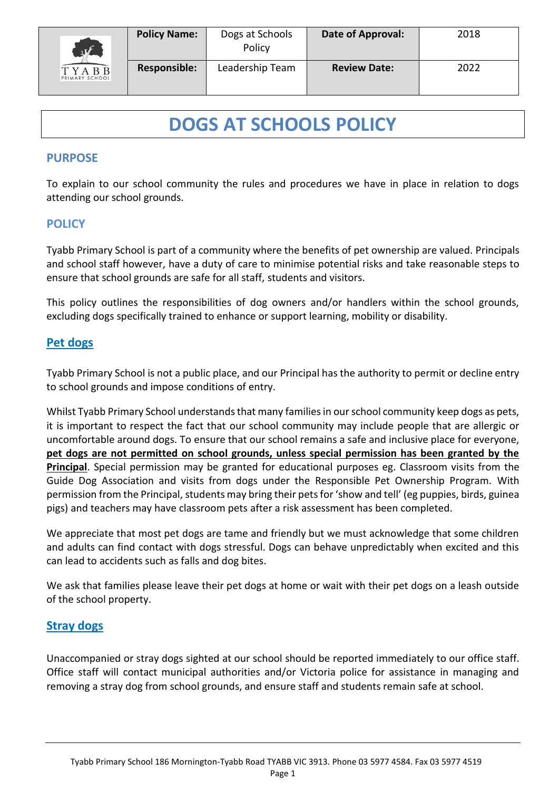

# **DOGS AT SCHOOLS POLICY**

### **PURPOSE**

To explain to our school community the rules and procedures we have in place in relation to dogs attending our school grounds.

## **POLICY**

Tyabb Primary School is part of a community where the benefits of pet ownership are valued. Principals and school staff however, have a duty of care to minimise potential risks and take reasonable steps to ensure that school grounds are safe for all staff, students and visitors.

This policy outlines the responsibilities of dog owners and/or handlers within the school grounds, excluding dogs specifically trained to enhance or support learning, mobility or disability.

### **Pet dogs**

Tyabb Primary School is not a public place, and our Principal has the authority to permit or decline entry to school grounds and impose conditions of entry.

Whilst Tyabb Primary School understands that many families in our school community keep dogs as pets, it is important to respect the fact that our school community may include people that are allergic or uncomfortable around dogs. To ensure that our school remains a safe and inclusive place for everyone, **pet dogs are not permitted on school grounds, unless special permission has been granted by the Principal**. Special permission may be granted for educational purposes eg. Classroom visits from the Guide Dog Association and visits from dogs under the Responsible Pet Ownership Program. With permission from the Principal, students may bring their petsfor 'show and tell' (eg puppies, birds, guinea pigs) and teachers may have classroom pets after a risk assessment has been completed.

We appreciate that most pet dogs are tame and friendly but we must acknowledge that some children and adults can find contact with dogs stressful. Dogs can behave unpredictably when excited and this can lead to accidents such as falls and dog bites.

We ask that families please leave their pet dogs at home or wait with their pet dogs on a leash outside of the school property.

### **Stray dogs**

Unaccompanied or stray dogs sighted at our school should be reported immediately to our office staff. Office staff will contact municipal authorities and/or Victoria police for assistance in managing and removing a stray dog from school grounds, and ensure staff and students remain safe at school.